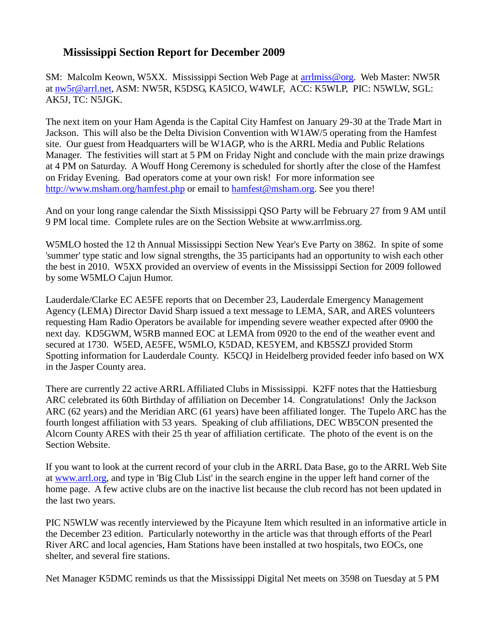## **Mississippi Section Report for December 2009**

SM: Malcolm Keown, W5XX. Mississippi Section Web Page at [arrlmiss@org.](mailto:arrlmiss@org) Web Master: NW5R at [nw5r@arrl.net,](mailto:nw5r@arrl.net) ASM: NW5R, K5DSG, KA5ICO, W4WLF, ACC: K5WLP, PIC: N5WLW, SGL: AK5J, TC: N5JGK.

The next item on your Ham Agenda is the Capital City Hamfest on January 29-30 at the Trade Mart in Jackson. This will also be the Delta Division Convention with W1AW/5 operating from the Hamfest site. Our guest from Headquarters will be W1AGP, who is the ARRL Media and Public Relations Manager. The festivities will start at 5 PM on Friday Night and conclude with the main prize drawings at 4 PM on Saturday. A Wouff Hong Ceremony is scheduled for shortly after the close of the Hamfest on Friday Evening. Bad operators come at your own risk! For more information see [http://www.msham.org/hamfest.php](http://www.msham.org/hamfest) or email to [hamfest@msham.org.](mailto:hamfest@msham.org) See you there!

And on your long range calendar the Sixth Mississippi QSO Party will be February 27 from 9 AM until 9 PM local time. Complete rules are on the Section Website at www.arrlmiss.org.

W5MLO hosted the 12 th Annual Mississippi Section New Year's Eve Party on 3862. In spite of some 'summer' type static and low signal strengths, the 35 participants had an opportunity to wish each other the best in 2010. W5XX provided an overview of events in the Mississippi Section for 2009 followed by some W5MLO Cajun Humor.

Lauderdale/Clarke EC AE5FE reports that on December 23, Lauderdale Emergency Management Agency (LEMA) Director David Sharp issued a text message to LEMA, SAR, and ARES volunteers requesting Ham Radio Operators be available for impending severe weather expected after 0900 the next day. KD5GWM, W5RB manned EOC at LEMA from 0920 to the end of the weather event and secured at 1730. W5ED, AE5FE, W5MLO, K5DAD, KE5YEM, and KB5SZJ provided Storm Spotting information for Lauderdale County. K5CQJ in Heidelberg provided feeder info based on WX in the Jasper County area.

There are currently 22 active ARRL Affiliated Clubs in Mississippi. K2FF notes that the Hattiesburg ARC celebrated its 60th Birthday of affiliation on December 14. Congratulations! Only the Jackson ARC (62 years) and the Meridian ARC (61 years) have been affiliated longer. The Tupelo ARC has the fourth longest affiliation with 53 years. Speaking of club affiliations, DEC WB5CON presented the Alcorn County ARES with their 25 th year of affiliation certificate. The photo of the event is on the Section Website.

If you want to look at the current record of your club in the ARRL Data Base, go to the ARRL Web Site at [www.arrl.org,](http://www.arrl.org/) and type in 'Big Club List' in the search engine in the upper left hand corner of the home page. A few active clubs are on the inactive list because the club record has not been updated in the last two years.

PIC N5WLW was recently interviewed by the Picayune Item which resulted in an informative article in the December 23 edition. Particularly noteworthy in the article was that through efforts of the Pearl River ARC and local agencies, Ham Stations have been installed at two hospitals, two EOCs, one shelter, and several fire stations.

Net Manager K5DMC reminds us that the Mississippi Digital Net meets on 3598 on Tuesday at 5 PM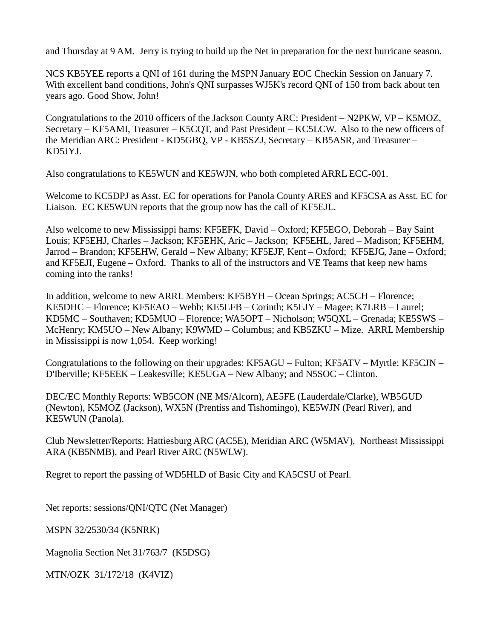and Thursday at 9 AM. Jerry is trying to build up the Net in preparation for the next hurricane season.

NCS KB5YEE reports a QNI of 161 during the MSPN January EOC Checkin Session on January 7. With excellent band conditions, John's QNI surpasses WJ5K's record QNI of 150 from back about ten years ago. Good Show, John!

Congratulations to the 2010 officers of the Jackson County ARC: President – N2PKW, VP – K5MOZ, Secretary – KF5AMI, Treasurer – K5CQT, and Past President – KC5LCW. Also to the new officers of the Meridian ARC: President - KD5GBQ, VP - KB5SZJ, Secretary – KB5ASR, and Treasurer – KD5JYJ.

Also congratulations to KE5WUN and KE5WJN, who both completed ARRL ECC-001.

Welcome to KC5DPJ as Asst. EC for operations for Panola County ARES and KF5CSA as Asst. EC for Liaison. EC KE5WUN reports that the group now has the call of KF5EJL.

Also welcome to new Mississippi hams: KF5EFK, David – Oxford; KF5EGO, Deborah – Bay Saint Louis; KF5EHJ, Charles – Jackson; KF5EHK, Aric – Jackson; KF5EHL, Jared – Madison; KF5EHM, Jarrod – Brandon; KF5EHW, Gerald – New Albany; KF5EJF, Kent – Oxford; KF5EJG, Jane – Oxford; and KF5EJI, Eugene – Oxford. Thanks to all of the instructors and VE Teams that keep new hams coming into the ranks!

In addition, welcome to new ARRL Members: KF5BYH – Ocean Springs; AC5CH – Florence; KE5DHC – Florence; KF5EAO – Webb; KE5EFB – Corinth; K5EJY – Magee; K7LRB – Laurel; KD5MC – Southaven; KD5MUO – Florence; WA5OPT – Nicholson; W5QXL – Grenada; KE5SWS – McHenry; KM5UO – New Albany; K9WMD – Columbus; and KB5ZKU – Mize. ARRL Membership in Mississippi is now 1,054. Keep working!

Congratulations to the following on their upgrades: KF5AGU – Fulton; KF5ATV – Myrtle; KF5CJN – D'Iberville; KF5EEK – Leakesville; KE5UGA – New Albany; and N5SOC – Clinton.

DEC/EC Monthly Reports: WB5CON (NE MS/Alcorn), AE5FE (Lauderdale/Clarke), WB5GUD (Newton), K5MOZ (Jackson), WX5N (Prentiss and Tishomingo), KE5WJN (Pearl River), and KE5WUN (Panola).

Club Newsletter/Reports: Hattiesburg ARC (AC5E), Meridian ARC (W5MAV), Northeast Mississippi ARA (KB5NMB), and Pearl River ARC (N5WLW).

Regret to report the passing of WD5HLD of Basic City and KA5CSU of Pearl.

Net reports: sessions/QNI/QTC (Net Manager)

MSPN 32/2530/34 (K5NRK)

Magnolia Section Net 31/763/7 (K5DSG)

MTN/OZK 31/172/18 (K4VIZ)